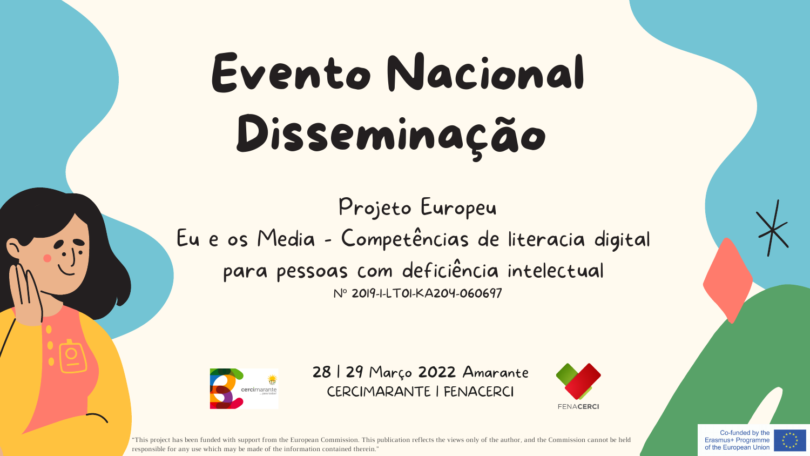## Evento Nacional Disseminação

Projeto Europeu Eu e os Media - Competências de literacia digital para pessoas com deficiência intelectual Nº 2019-1-LT01-KA204-060697





"This project has been funded with support from the European Commission. This publication reflects the views only of the author, and the Commission cannot be held responsible for any use which may be made of the information contained therein."





Co-funded by the Erasmus+ Programme of the European Union

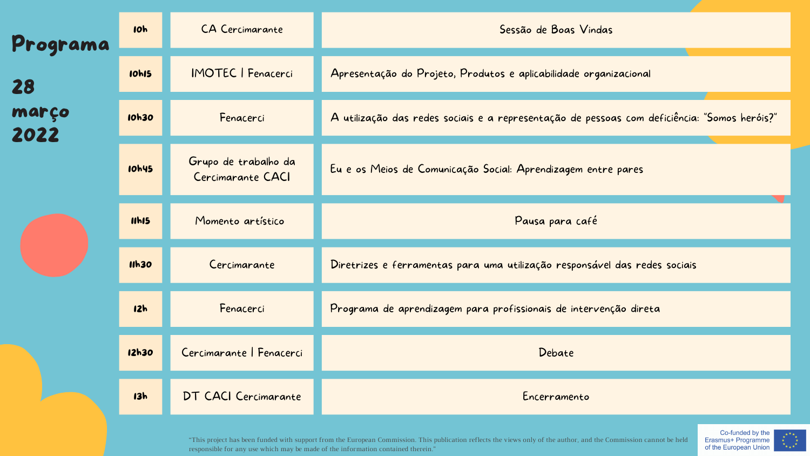

Erasmus+ Programme of the European Union



| Programa<br>28<br>março<br>2022 | <b>10h</b>   | <b>CA Cercimarante</b>                    | Sessão de Boas Vindas                                                                        |
|---------------------------------|--------------|-------------------------------------------|----------------------------------------------------------------------------------------------|
|                                 | <b>10h15</b> | <b>IMOTEC   Fenacerci</b>                 | Apresentação do Projeto, Produtos e aplicabilidade organizacional                            |
|                                 | 10h30        | Fenacerci                                 | A utilização das redes sociais e a representação de pessoas com deficiência: "Somos heróis?" |
|                                 | <b>10h45</b> | Grupo de trabalho da<br>Cercimarante CACI | Eu e os Meios de Comunicação Social: Aprendizagem entre pares                                |
|                                 | 11h15        | Momento artístico                         | Pausa para café                                                                              |
|                                 | <b>11h30</b> | Cercimarante                              | Diretrizes e ferramentas para uma utilização responsável das redes sociais                   |
|                                 | <b>12h</b>   | Fenacerci                                 | Programa de aprendizagem para profissionais de intervenção direta                            |
|                                 | 12h30        | Cercimarante   Fenacerci                  | Debate                                                                                       |
|                                 | 13h          | DT CACI Cercimarante                      | Encerramento                                                                                 |

"This project has been funded with support from the European Commission. This publication reflects the views only of the author, and the Commission cannot be held responsible for any use which may be made of the information contained therein."